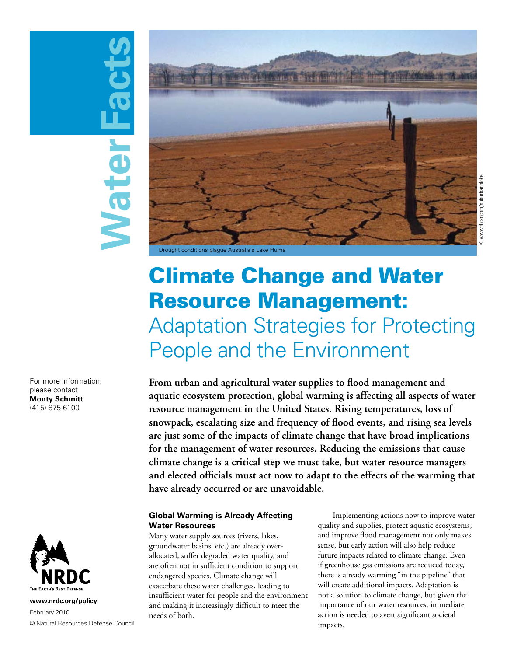# **Water Facts Water** Fa



# Climate Change and Water Resource Management: Adaptation Strategies for Protecting People and the Environment

For more information, please contact **Monty Schmitt** (415) 875-6100



**www.nrdc.org/policy** February 2010 © Natural Resources Defense Council **From urban and agricultural water supplies to flood management and aquatic ecosystem protection, global warming is affecting all aspects of water resource management in the United States. Rising temperatures, loss of snowpack, escalating size and frequency of flood events, and rising sea levels are just some of the impacts of climate change that have broad implications for the management of water resources. Reducing the emissions that cause climate change is a critical step we must take, but water resource managers and elected officials must act now to adapt to the effects of the warming that have already occurred or are unavoidable.**

## **Global Warming is Already Affecting Water Resources**

Many water supply sources (rivers, lakes, groundwater basins, etc.) are already overallocated, suffer degraded water quality, and are often not in sufficient condition to support endangered species. Climate change will exacerbate these water challenges, leading to insufficient water for people and the environment and making it increasingly difficult to meet the needs of both.

Implementing actions now to improve water quality and supplies, protect aquatic ecosystems, and improve flood management not only makes sense, but early action will also help reduce future impacts related to climate change. Even if greenhouse gas emissions are reduced today, there is already warming "in the pipeline" that will create additional impacts. Adaptation is not a solution to climate change, but given the importance of our water resources, immediate action is needed to avert significant societal impacts.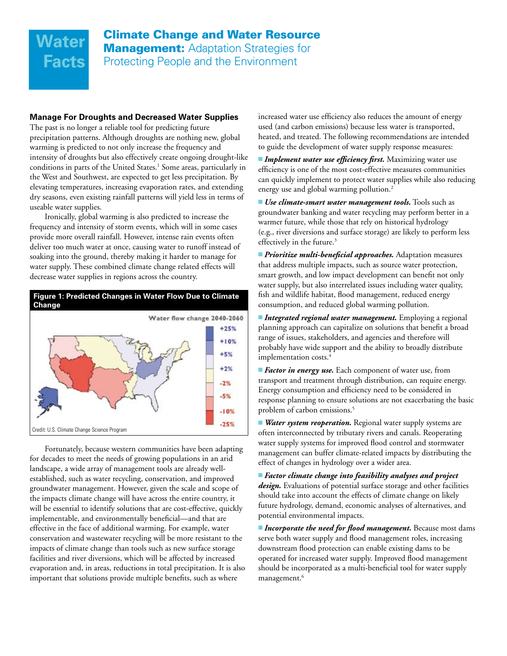# **Water Facts**

## **Manage For Droughts and Decreased Water Supplies**

The past is no longer a reliable tool for predicting future precipitation patterns. Although droughts are nothing new, global warming is predicted to not only increase the frequency and intensity of droughts but also effectively create ongoing drought-like conditions in parts of the United States.<sup>1</sup> Some areas, particularly in the West and Southwest, are expected to get less precipitation. By elevating temperatures, increasing evaporation rates, and extending dry seasons, even existing rainfall patterns will yield less in terms of useable water supplies.

Ironically, global warming is also predicted to increase the frequency and intensity of storm events, which will in some cases provide more overall rainfall. However, intense rain events often deliver too much water at once, causing water to runoff instead of soaking into the ground, thereby making it harder to manage for water supply. These combined climate change related effects will decrease water supplies in regions across the country.



Fortunately, because western communities have been adapting for decades to meet the needs of growing populations in an arid landscape, a wide array of management tools are already wellestablished, such as water recycling, conservation, and improved groundwater management. However, given the scale and scope of the impacts climate change will have across the entire country, it will be essential to identify solutions that are cost-effective, quickly implementable, and environmentally beneficial—and that are effective in the face of additional warming. For example, water conservation and wastewater recycling will be more resistant to the impacts of climate change than tools such as new surface storage facilities and river diversions, which will be affected by increased evaporation and, in areas, reductions in total precipitation. It is also important that solutions provide multiple benefits, such as where

increased water use efficiency also reduces the amount of energy used (and carbon emissions) because less water is transported, heated, and treated. The following recommendations are intended to guide the development of water supply response measures:

**Implement water use efficiency first.** Maximizing water use efficiency is one of the most cost-effective measures communities can quickly implement to protect water supplies while also reducing energy use and global warming pollution.<sup>2</sup>

■ *Use climate-smart water management tools*. Tools such as groundwater banking and water recycling may perform better in a warmer future, while those that rely on historical hydrology (e.g., river diversions and surface storage) are likely to perform less effectively in the future.<sup>3</sup>

**Prioritize multi-beneficial approaches.** Adaptation measures that address multiple impacts, such as source water protection, smart growth, and low impact development can benefit not only water supply, but also interrelated issues including water quality, fish and wildlife habitat, flood management, reduced energy consumption, and reduced global warming pollution.

**nitegrated regional water management.** Employing a regional planning approach can capitalize on solutions that benefit a broad range of issues, stakeholders, and agencies and therefore will probably have wide support and the ability to broadly distribute implementation costs.4

**Factor in energy use.** Each component of water use, from transport and treatment through distribution, can require energy. Energy consumption and efficiency need to be considered in response planning to ensure solutions are not exacerbating the basic problem of carbon emissions.<sup>5</sup>

**N***Water system reoperation*. Regional water supply systems are often interconnected by tributary rivers and canals. Reoperating water supply systems for improved flood control and stormwater management can buffer climate-related impacts by distributing the effect of changes in hydrology over a wider area.

■ Factor climate change into feasibility analyses and project *design.* Evaluations of potential surface storage and other facilities should take into account the effects of climate change on likely future hydrology, demand, economic analyses of alternatives, and potential environmental impacts.

**Incorporate the need for flood management.** Because most dams serve both water supply and flood management roles, increasing downstream flood protection can enable existing dams to be operated for increased water supply. Improved flood management should be incorporated as a multi-beneficial tool for water supply management.<sup>6</sup>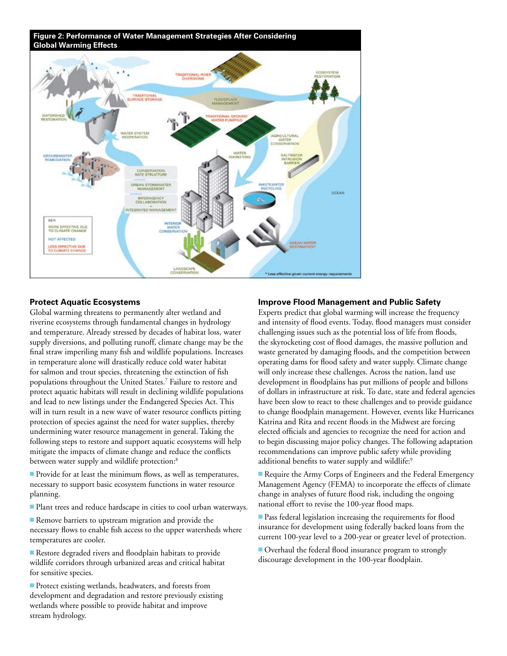

#### **Protect Aquatic Ecosystems**

Global warming threatens to permanently alter wetland and riverine ecosystems through fundamental changes in hydrology and temperature. Already stressed by decades of habitat loss, water supply diversions, and polluting runoff, climate change may be the final straw imperiling many fish and wildlife populations. Increases in temperature alone will drastically reduce cold water habitat for salmon and trout species, threatening the extinction of fish populations throughout the United States.7 Failure to restore and protect aquatic habitats will result in declining wildlife populations and lead to new listings under the Endangered Species Act. This will in turn result in a new wave of water resource conflicts pitting protection of species against the need for water supplies, thereby undermining water resource management in general. Taking the following steps to restore and support aquatic ecosystems will help mitigate the impacts of climate change and reduce the conflicts between water supply and wildlife protection:<sup>8</sup>

■ Provide for at least the minimum flows, as well as temperatures, necessary to support basic ecosystem functions in water resource planning.

■ Plant trees and reduce hardscape in cities to cool urban waterways.

 $\blacksquare$  Remove barriers to upstream migration and provide the necessary flows to enable fish access to the upper watersheds where temperatures are cooler.

Restore degraded rivers and floodplain habitats to provide wildlife corridors through urbanized areas and critical habitat for sensitive species.

■ Protect existing wetlands, headwaters, and forests from development and degradation and restore previously existing wetlands where possible to provide habitat and improve stream hydrology.

#### **Improve Flood Management and Public Safety**

Experts predict that global warming will increase the frequency and intensity of flood events. Today, flood managers must consider challenging issues such as the potential loss of life from floods, the skyrocketing cost of flood damages, the massive pollution and waste generated by damaging floods, and the competition between operating dams for flood safety and water supply. Climate change will only increase these challenges. Across the nation, land use development in floodplains has put millions of people and billons of dollars in infrastructure at risk. To date, state and federal agencies have been slow to react to these challenges and to provide guidance to change floodplain management. However, events like Hurricanes Katrina and Rita and recent floods in the Midwest are forcing elected officials and agencies to recognize the need for action and to begin discussing major policy changes. The following adaptation recommendations can improve public safety while providing additional benefits to water supply and wildlife:<sup>9</sup>

Require the Army Corps of Engineers and the Federal Emergency Management Agency (FEMA) to incorporate the effects of climate change in analyses of future flood risk, including the ongoing national effort to revise the 100-year flood maps.

 $\blacksquare$  Pass federal legislation increasing the requirements for flood insurance for development using federally backed loans from the current 100-year level to a 200-year or greater level of protection.

■ Overhaul the federal flood insurance program to strongly discourage development in the 100-year floodplain.